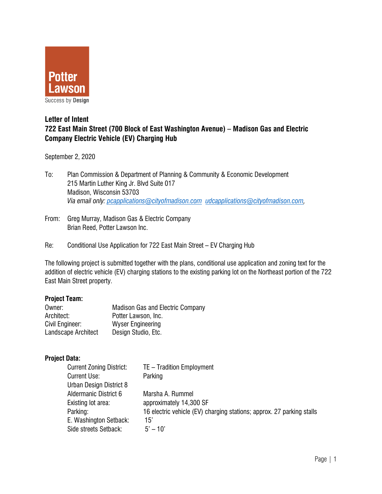

# **Letter of Intent 722 East Main Street (700 Block of East Washington Avenue) – Madison Gas and Electric Company Electric Vehicle (EV) Charging Hub**

September 2, 2020

- To: Plan Commission & Department of Planning & Community & Economic Development 215 Martin Luther King Jr. Blvd Suite 017 Madison, Wisconsin 53703 *Via email only: pcapplications@cityofmadison.com udcapplications@cityofmadison.com,*
- From: Greg Murray, Madison Gas & Electric Company Brian Reed, Potter Lawson Inc.
- Re: Conditional Use Application for 722 East Main Street EV Charging Hub

The following project is submitted together with the plans, conditional use application and zoning text for the addition of electric vehicle (EV) charging stations to the existing parking lot on the Northeast portion of the 722 East Main Street property.

### **Project Team:**

| Owner:              | <b>Madison Gas and Electric Company</b> |  |
|---------------------|-----------------------------------------|--|
| Architect:          | Potter Lawson, Inc.                     |  |
| Civil Engineer:     | <b>Wyser Engineering</b>                |  |
| Landscape Architect | Design Studio, Etc.                     |  |

### **Project Data:**

| <b>Current Zoning District:</b> | TE - Tradition Employment                                             |
|---------------------------------|-----------------------------------------------------------------------|
| <b>Current Use:</b>             | Parking                                                               |
| Urban Design District 8         |                                                                       |
| Aldermanic District 6           | Marsha A. Rummel                                                      |
| Existing lot area:              | approximately 14,300 SF                                               |
| Parking:                        | 16 electric vehicle (EV) charging stations; approx. 27 parking stalls |
| E. Washington Setback:          | 15'                                                                   |
| Side streets Setback:           | $5' - 10'$                                                            |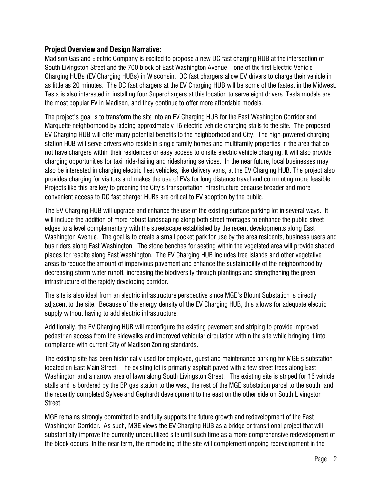# **Project Overview and Design Narrative:**

Madison Gas and Electric Company is excited to propose a new DC fast charging HUB at the intersection of South Livingston Street and the 700 block of East Washington Avenue – one of the first Electric Vehicle Charging HUBs (EV Charging HUBs) in Wisconsin. DC fast chargers allow EV drivers to charge their vehicle in as little as 20 minutes. The DC fast chargers at the EV Charging HUB will be some of the fastest in the Midwest. Tesla is also interested in installing four Superchargers at this location to serve eight drivers. Tesla models are the most popular EV in Madison, and they continue to offer more affordable models.

The project's goal is to transform the site into an EV Charging HUB for the East Washington Corridor and Marquette neighborhood by adding approximately 16 electric vehicle charging stalls to the site. The proposed EV Charging HUB will offer many potential benefits to the neighborhood and City. The high-powered charging station HUB will serve drivers who reside in single family homes and multifamily properties in the area that do not have chargers within their residences or easy access to onsite electric vehicle charging. It will also provide charging opportunities for taxi, ride-hailing and ridesharing services. In the near future, local businesses may also be interested in charging electric fleet vehicles, like delivery vans, at the EV Charging HUB. The project also provides charging for visitors and makes the use of EVs for long distance travel and commuting more feasible. Projects like this are key to greening the City's transportation infrastructure because broader and more convenient access to DC fast charger HUBs are critical to EV adoption by the public.

The EV Charging HUB will upgrade and enhance the use of the existing surface parking lot in several ways. It will include the addition of more robust landscaping along both street frontages to enhance the public street edges to a level complementary with the streetscape established by the recent developments along East Washington Avenue. The goal is to create a small pocket park for use by the area residents, business users and bus riders along East Washington. The stone benches for seating within the vegetated area will provide shaded places for respite along East Washington. The EV Charging HUB includes tree islands and other vegetative areas to reduce the amount of impervious pavement and enhance the sustainability of the neighborhood by decreasing storm water runoff, increasing the biodiversity through plantings and strengthening the green infrastructure of the rapidly developing corridor.

The site is also ideal from an electric infrastructure perspective since MGE's Blount Substation is directly adjacent to the site. Because of the energy density of the EV Charging HUB, this allows for adequate electric supply without having to add electric infrastructure.

Additionally, the EV Charging HUB will reconfigure the existing pavement and striping to provide improved pedestrian access from the sidewalks and improved vehicular circulation within the site while bringing it into compliance with current City of Madison Zoning standards.

The existing site has been historically used for employee, guest and maintenance parking for MGE's substation located on East Main Street. The existing lot is primarily asphalt paved with a few street trees along East Washington and a narrow area of lawn along South Livingston Street. The existing site is striped for 16 vehicle stalls and is bordered by the BP gas station to the west, the rest of the MGE substation parcel to the south, and the recently completed Sylvee and Gephardt development to the east on the other side on South Livingston Street.

MGE remains strongly committed to and fully supports the future growth and redevelopment of the East Washington Corridor. As such, MGE views the EV Charging HUB as a bridge or transitional project that will substantially improve the currently underutilized site until such time as a more comprehensive redevelopment of the block occurs. In the near term, the remodeling of the site will complement ongoing redevelopment in the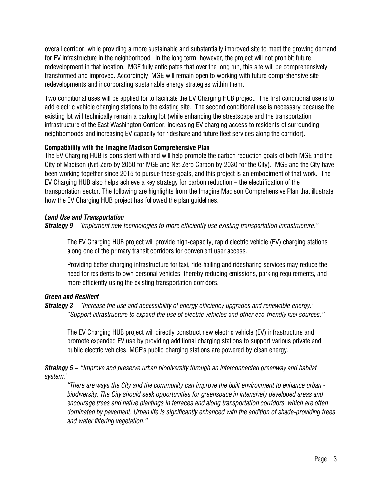overall corridor, while providing a more sustainable and substantially improved site to meet the growing demand for EV infrastructure in the neighborhood. In the long term, however, the project will not prohibit future redevelopment in that location. MGE fully anticipates that over the long run, this site will be comprehensively transformed and improved. Accordingly, MGE will remain open to working with future comprehensive site redevelopments and incorporating sustainable energy strategies within them.

Two conditional uses will be applied for to facilitate the EV Charging HUB project. The first conditional use is to add electric vehicle charging stations to the existing site. The second conditional use is necessary because the existing lot will technically remain a parking lot (while enhancing the streetscape and the transportation infrastructure of the East Washington Corridor, increasing EV charging access to residents of surrounding neighborhoods and increasing EV capacity for rideshare and future fleet services along the corridor).

## **Compatibility with the Imagine Madison Comprehensive Plan**

The EV Charging HUB is consistent with and will help promote the carbon reduction goals of both MGE and the City of Madison (Net-Zero by 2050 for MGE and Net-Zero Carbon by 2030 for the City). MGE and the City have been working together since 2015 to pursue these goals, and this project is an embodiment of that work. The EV Charging HUB also helps achieve a key strategy for carbon reduction – the electrification of the transportation sector. The following are highlights from the Imagine Madison Comprehensive Plan that illustrate how the EV Charging HUB project has followed the plan guidelines.

## *Land Use and Transportation*

*Strategy 9 - "Implement new technologies to more efficiently use existing transportation infrastructure."* 

The EV Charging HUB project will provide high-capacity, rapid electric vehicle (EV) charging stations along one of the primary transit corridors for convenient user access.

Providing better charging infrastructure for taxi, ride-hailing and ridesharing services may reduce the need for residents to own personal vehicles, thereby reducing emissions, parking requirements, and more efficiently using the existing transportation corridors.

# *Green and Resilient*

## *Strategy 3 – "Increase the use and accessibility of energy efficiency upgrades and renewable energy." "Support infrastructure to expand the use of electric vehicles and other eco-friendly fuel sources."*

The EV Charging HUB project will directly construct new electric vehicle (EV) infrastructure and promote expanded EV use by providing additional charging stations to support various private and public electric vehicles. MGE's public charging stations are powered by clean energy.

*Strategy 5 – "Improve and preserve urban biodiversity through an interconnected greenway and habitat system."* 

*"There are ways the City and the community can improve the built environment to enhance urban biodiversity. The City should seek opportunities for greenspace in intensively developed areas and encourage trees and native plantings in terraces and along transportation corridors, which are often dominated by pavement. Urban life is significantly enhanced with the addition of shade-providing trees and water filtering vegetation."*